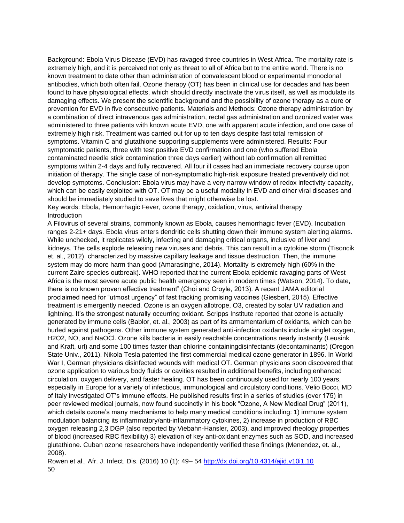Background: Ebola Virus Disease (EVD) has ravaged three countries in West Africa. The mortality rate is extremely high, and it is perceived not only as threat to all of Africa but to the entire world. There is no known treatment to date other than administration of convalescent blood or experimental monoclonal antibodies, which both often fail. Ozone therapy (OT) has been in clinical use for decades and has been found to have physiological effects, which should directly inactivate the virus itself, as well as modulate its damaging effects. We present the scientific background and the possibility of ozone therapy as a cure or prevention for EVD in five consecutive patients. Materials and Methods: Ozone therapy administration by a combination of direct intravenous gas administration, rectal gas administration and ozonized water was administered to three patients with known acute EVD, one with apparent acute infection, and one case of extremely high risk. Treatment was carried out for up to ten days despite fast total remission of symptoms. Vitamin C and glutathione supporting supplements were administered. Results: Four symptomatic patients, three with test positive EVD confirmation and one (who suffered Ebola contaminated needle stick contamination three days earlier) without lab confirmation all remitted symptoms within 2-4 days and fully recovered. All four ill cases had an immediate recovery course upon initiation of therapy. The single case of non-symptomatic high-risk exposure treated preventively did not develop symptoms. Conclusion: Ebola virus may have a very narrow window of redox infectivity capacity, which can be easily exploited with OT. OT may be a useful modality in EVD and other viral diseases and should be immediately studied to save lives that might otherwise be lost.

Key words: Ebola, Hemorrhagic Fever, ozone therapy, oxidation, virus, antiviral therapy Introduction

A Filovirus of several strains, commonly known as Ebola, causes hemorrhagic fever (EVD). Incubation ranges 2-21+ days. Ebola virus enters dendritic cells shutting down their immune system alerting alarms. While unchecked, it replicates wildly, infecting and damaging critical organs, inclusive of liver and kidneys. The cells explode releasing new viruses and debris. This can result in a cytokine storm (Tisoncik et. al., 2012), characterized by massive capillary leakage and tissue destruction. Then, the immune system may do more harm than good (Amarasinghe, 2014). Mortality is extremely high (60% in the current Zaire species outbreak). WHO reported that the current Ebola epidemic ravaging parts of West Africa is the most severe acute public health emergency seen in modern times (Watson, 2014). To date, there is no known proven effective treatment" (Choi and Croyle, 2013). A recent JAMA editorial proclaimed need for "utmost urgency" of fast tracking promising vaccines (Giesbert, 2015). Effective treatment is emergently needed. Ozone is an oxygen allotrope, O3, created by solar UV radiation and lightning. It's the strongest naturally occurring oxidant. Scripps Institute reported that ozone is actually generated by immune cells (Bablor, et. al., 2003) as part of its armamentarium of oxidants, which can be hurled against pathogens. Other immune system generated anti-infection oxidants include singlet oxygen, H2O2, NO, and NaOCl. Ozone kills bacteria in easily reachable concentrations nearly instantly (Leusink and Kraft, url) and some 100 times faster than chlorine containingdisinfectants (decontaminants) (Oregon State Univ., 2011). Nikola Tesla patented the first commercial medical ozone generator in 1896. In World War I, German physicians disinfected wounds with medical OT. German physicians soon discovered that ozone application to various body fluids or cavities resulted in additional benefits, including enhanced circulation, oxygen delivery, and faster healing. OT has been continuously used for nearly 100 years, especially in Europe for a variety of infectious, immunological and circulatory conditions. Velio Bocci, MD of Italy investigated OT's immune effects. He published results first in a series of studies (over 175) in peer reviewed medical journals, now found succinctly in his book "Ozone, A New Medical Drug" (2011), which details ozone's many mechanisms to help many medical conditions including: 1) immune system modulation balancing its inflammatory/anti-inflammatory cytokines, 2) increase in production of RBC oxygen releasing 2,3 DGP (also reported by Viebahn-Hansler, 2003), and improved rheology properties of blood (increased RBC flexibility) 3) elevation of key anti-oxidant enzymes such as SOD, and increased glutathione. Cuban ozone researchers have independently verified these findings (Menendez, et. al., 2008).

Rowen et al., Afr. J. Infect. Dis. (2016) 10 (1): 49– 54 <http://dx.doi.org/10.4314/ajid.v10i1.10> 50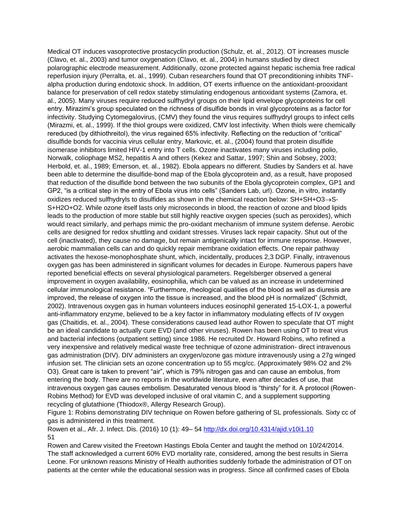Medical OT induces vasoprotective prostacyclin production (Schulz, et. al., 2012). OT increases muscle (Clavo, et. al., 2003) and tumor oxygenation (Clavo, et. al., 2004) in humans studied by direct polarographic electrode measurement. Additionally, ozone protected against hepatic ischemia free radical reperfusion injury (Perralta, et. al., 1999). Cuban researchers found that OT preconditioning inhibits TNFalpha production during endotoxic shock. In addition, OT exerts influence on the antioxidant-prooxidant balance for preservation of cell redox stateby stimulating endogenous antioxidant systems (Zamora, et. al., 2005). Many viruses require reduced sulfhydryl groups on their lipid envelope glycoproteins for cell entry. Mirazimi's group speculated on the richness of disulfide bonds in viral glycoproteins as a factor for infectivity. Studying Cytomegalovirus, (CMV) they found the virus requires sulfhydryl groups to infect cells (Mirazmi, et. al., 1999). If the thiol groups were oxidized, CMV lost infectivity. When thiols were chemically rereduced (by dithiothreitol), the virus regained 65% infectivity. Reflecting on the reduction of "critical" disulfide bonds for vaccinia virus cellular entry, Markovic, et. al., (2004) found that protein disulfide isomerase inhibitors limited HIV-1 entry into T cells. Ozone inactivates many viruses including polio, Norwalk, coliophage MS2, hepatitis A and others (Kekez and Sattar, 1997; Shin and Sobsey, 2003; Herbold, et. al., 1989; Emerson, et. al., 1982). Ebola appears no different. Studies by Sanders et al. have been able to determine the disulfide-bond map of the Ebola glycoprotein and, as a result, have proposed that reduction of the disulfide bond between the two subunits of the Ebola glycoprotein complex, GP1 and GP2, "is a critical step in the entry of Ebola virus into cells" (Sanders Lab, url). Ozone, in vitro, instantly oxidizes reduced sulfhydryls to disulfides as shown in the chemical reaction below: SH+SH+O3→S-S+H2O+O2. While ozone itself lasts only microseconds in blood, the reaction of ozone and blood lipids leads to the production of more stable but still highly reactive oxygen species (such as peroxides), which would react similarly, and perhaps mimic the pro-oxidant mechanism of immune system defense. Aerobic cells are designed for redox shuttling and oxidant stresses. Viruses lack repair capacity. Shut out of the cell (inactivated), they cause no damage, but remain antigenically intact for immune response. However, aerobic mammalian cells can and do quickly repair membrane oxidation effects. One repair pathway activates the hexose-monophosphate shunt, which, incidentally, produces 2,3 DGP. Finally, intravenous oxygen gas has been administered in significant volumes for decades in Europe. Numerous papers have reported beneficial effects on several physiological parameters. Regelsberger observed a general improvement in oxygen availability, eosinophilia, which can be valued as an increase in undetermined cellular immunological resistance. "Furthermore, rheological qualities of the blood as well as diuresis are improved, the release of oxygen into the tissue is increased, and the blood pH is normalized" (Schmidt, 2002). Intravenous oxygen gas in human volunteers induces eosinophil generated 15-LOX-1, a powerful anti-inflammatory enzyme, believed to be a key factor in inflammatory modulating effects of IV oxygen gas (Chaitidis, et. al., 2004). These considerations caused lead author Rowen to speculate that OT might be an ideal candidate to actually cure EVD (and other viruses). Rowen has been using OT to treat virus and bacterial infections (outpatient setting) since 1986. He recruited Dr. Howard Robins, who refined a very inexpensive and relatively medical waste free technique of ozone administration- direct intravenous gas administration (DIV). DIV administers an oxygen/ozone gas mixture intravenously using a 27g winged infusion set. The clinician sets an ozone concentration up to 55 mcg/cc. (Approximately 98% O2 and 2% O3). Great care is taken to prevent "air", which is 79% nitrogen gas and can cause an embolus, from entering the body. There are no reports in the worldwide literature, even after decades of use, that intravenous oxygen gas causes embolism. Desaturated venous blood is "thirsty" for it. A protocol (Rowen-Robins Method) for EVD was developed inclusive of oral vitamin C, and a supplement supporting recycling of glutathione (Thiodox®, Allergy Research Group).

Figure 1: Robins demonstrating DIV technique on Rowen before gathering of SL professionals. Sixty cc of gas is administered in this treatment.

Rowen et al., Afr. J. Infect. Dis. (2016) 10 (1): 49– 54 <http://dx.doi.org/10.4314/ajid.v10i1.10> 51

Rowen and Carew visited the Freetown Hastings Ebola Center and taught the method on 10/24/2014. The staff acknowledged a current 60% EVD mortality rate, considered, among the best results in Sierra Leone. For unknown reasons Ministry of Health authorities suddenly forbade the administration of OT on patients at the center while the educational session was in progress. Since all confirmed cases of Ebola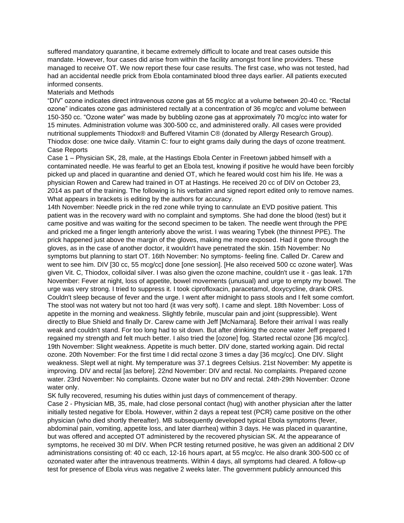suffered mandatory quarantine, it became extremely difficult to locate and treat cases outside this mandate. However, four cases did arise from within the facility amongst front line providers. These managed to receive OT. We now report these four case results. The first case, who was not tested, had had an accidental needle prick from Ebola contaminated blood three days earlier. All patients executed informed consents.

## Materials and Methods

"DIV" ozone indicates direct intravenous ozone gas at 55 mcg/cc at a volume between 20-40 cc. "Rectal ozone" indicates ozone gas administered rectally at a concentration of 36 mcg/cc and volume between 150-350 cc. "Ozone water" was made by bubbling ozone gas at approximately 70 mcg/cc into water for 15 minutes. Administration volume was 300-500 cc, and administered orally. All cases were provided nutritional supplements Thiodox® and Buffered Vitamin C® (donated by Allergy Research Group). Thiodox dose: one twice daily. Vitamin C: four to eight grams daily during the days of ozone treatment. Case Reports

Case 1 – Physician SK, 28, male, at the Hastings Ebola Center in Freetown jabbed himself with a contaminated needle. He was fearful to get an Ebola test, knowing if positive he would have been forcibly picked up and placed in quarantine and denied OT, which he feared would cost him his life. He was a physician Rowen and Carew had trained in OT at Hastings. He received 20 cc of DIV on October 23, 2014 as part of the training. The following is his verbatim and signed report edited only to remove names. What appears in brackets is editing by the authors for accuracy.

14th November: Needle prick in the red zone while trying to cannulate an EVD positive patient. This patient was in the recovery ward with no complaint and symptoms. She had done the blood (test) but it came positive and was waiting for the second specimen to be taken. The needle went through the PPE and pricked me a finger length anteriorly above the wrist. I was wearing Tybek (the thinnest PPE). The prick happened just above the margin of the gloves, making me more exposed. Had it gone through the gloves, as in the case of another doctor, it wouldn't have penetrated the skin. 15th November: No symptoms but planning to start OT. 16th November: No symptoms- feeling fine. Called Dr. Carew and went to see him. DIV [30 cc, 55 mcg/cc] done [one session]. [He also received 500 cc ozone water]. Was given Vit. C, Thiodox, colloidal silver. I was also given the ozone machine, couldn't use it - gas leak. 17th November: Fever at night, loss of appetite, bowel movements (unusual) and urge to empty my bowel. The urge was very strong. I tried to suppress it. I took ciprofloxacin, paracetamol, doxycycline, drank ORS. Couldn't sleep because of fever and the urge. I went after midnight to pass stools and I felt some comfort. The stool was not watery but not too hard (it was very soft). I came and slept. 18th November: Loss of appetite in the morning and weakness. Slightly febrile, muscular pain and joint (suppressible). Went directly to Blue Shield and finally Dr. Carew came with Jeff [McNamara]. Before their arrival I was really weak and couldn't stand. For too long had to sit down. But after drinking the ozone water Jeff prepared I regained my strength and felt much better. I also tried the [ozone] fog. Started rectal ozone [36 mcg/cc]. 19th November: Slight weakness. Appetite is much better. DIV done, started working again. Did rectal ozone. 20th November: For the first time I did rectal ozone 3 times a day [36 mcg/cc]. One DIV. Slight weakness. Slept well at night. My temperature was 37.1 degrees Celsius. 21st November: My appetite is improving. DIV and rectal [as before]. 22nd November: DIV and rectal. No complaints. Prepared ozone water. 23rd November: No complaints. Ozone water but no DIV and rectal. 24th-29th November: Ozone water only.

SK fully recovered, resuming his duties within just days of commencement of therapy.

Case 2 - Physician MB, 35, male, had close personal contact (hug) with another physician after the latter initially tested negative for Ebola. However, within 2 days a repeat test (PCR) came positive on the other physician (who died shortly thereafter). MB subsequently developed typical Ebola symptoms (fever, abdominal pain, vomiting, appetite loss, and later diarrhea) within 3 days. He was placed in quarantine, but was offered and accepted OT administered by the recovered physician SK. At the appearance of symptoms, he received 30 ml DIV. When PCR testing returned positive, he was given an additional 2 DIV administrations consisting of: 40 cc each, 12-16 hours apart, at 55 mcg/cc. He also drank 300-500 cc of ozonated water after the intravenous treatments. Within 4 days, all symptoms had cleared. A follow-up test for presence of Ebola virus was negative 2 weeks later. The government publicly announced this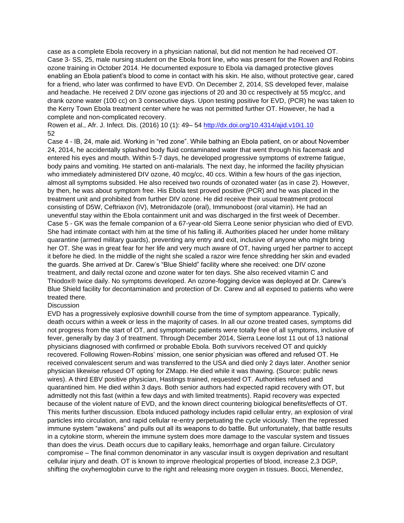case as a complete Ebola recovery in a physician national, but did not mention he had received OT. Case 3- SS, 25, male nursing student on the Ebola front line, who was present for the Rowen and Robins ozone training in October 2014. He documented exposure to Ebola via damaged protective gloves enabling an Ebola patient's blood to come in contact with his skin. He also, without protective gear, cared for a friend, who later was confirmed to have EVD. On December 2, 2014, SS developed fever, malaise and headache. He received 2 DIV ozone gas injections of 20 and 30 cc respectively at 55 mcg/cc, and drank ozone water (100 cc) on 3 consecutive days. Upon testing positive for EVD, (PCR) he was taken to the Kerry Town Ebola treatment center where he was not permitted further OT. However, he had a complete and non-complicated recovery.

Rowen et al., Afr. J. Infect. Dis. (2016) 10 (1): 49– 54 <http://dx.doi.org/10.4314/ajid.v10i1.10> 52

Case 4 - IB, 24, male aid. Working in "red zone". While bathing an Ebola patient, on or about November 24, 2014, he accidentally splashed body fluid contaminated water that went through his facemask and entered his eyes and mouth. Within 5-7 days, he developed progressive symptoms of extreme fatigue, body pains and vomiting. He started on anti-malarials. The next day, he informed the facility physician who immediately administered DIV ozone, 40 mcg/cc, 40 ccs. Within a few hours of the gas injection, almost all symptoms subsided. He also received two rounds of ozonated water (as in case 2). However, by then, he was about symptom free. His Ebola test proved positive (PCR) and he was placed in the treatment unit and prohibited from further DIV ozone. He did receive their usual treatment protocol consisting of D5W, Ceftriaxon (IV), Metronidazole (oral), Immunoboost (oral vitamin). He had an uneventful stay within the Ebola containment unit and was discharged in the first week of December. Case 5 - GK was the female companion of a 67-year-old Sierra Leone senior physician who died of EVD. She had intimate contact with him at the time of his falling ill. Authorities placed her under home military quarantine (armed military guards), preventing any entry and exit, inclusive of anyone who might bring her OT. She was in great fear for her life and very much aware of OT, having urged her partner to accept it before he died. In the middle of the night she scaled a razor wire fence shredding her skin and evaded the guards. She arrived at Dr. Carew's "Blue Shield" facility where she received: one DIV ozone treatment, and daily rectal ozone and ozone water for ten days. She also received vitamin C and Thiodox® twice daily. No symptoms developed. An ozone-fogging device was deployed at Dr. Carew's Blue Shield facility for decontamination and protection of Dr. Carew and all exposed to patients who were treated there.

## **Discussion**

EVD has a progressively explosive downhill course from the time of symptom appearance. Typically, death occurs within a week or less in the majority of cases. In all our ozone treated cases, symptoms did not progress from the start of OT, and symptomatic patients were totally free of all symptoms, inclusive of fever, generally by day 3 of treatment. Through December 2014, Sierra Leone lost 11 out of 13 national physicians diagnosed with confirmed or probable Ebola. Both survivors received OT and quickly recovered. Following Rowen-Robins' mission, one senior physician was offered and refused OT. He received convalescent serum and was transferred to the USA and died only 2 days later. Another senior physician likewise refused OT opting for ZMapp. He died while it was thawing. (Source: public news wires). A third EBV positive physician, Hastings trained, requested OT. Authorities refused and quarantined him. He died within 3 days. Both senior authors had expected rapid recovery with OT, but admittedly not this fast (within a few days and with limited treatments). Rapid recovery was expected because of the violent nature of EVD, and the known direct countering biological benefits/effects of OT. This merits further discussion. Ebola induced pathology includes rapid cellular entry, an explosion of viral particles into circulation, and rapid cellular re-entry perpetuating the cycle viciously. Then the repressed immune system "awakens" and pulls out all its weapons to do battle. But unfortunately, that battle results in a cytokine storm, wherein the immune system does more damage to the vascular system and tissues than does the virus. Death occurs due to capillary leaks, hemorrhage and organ failure. Circulatory compromise – The final common denominator in any vascular insult is oxygen deprivation and resultant cellular injury and death. OT is known to improve rheological properties of blood, increase 2,3 DGP, shifting the oxyhemoglobin curve to the right and releasing more oxygen in tissues. Bocci, Menendez,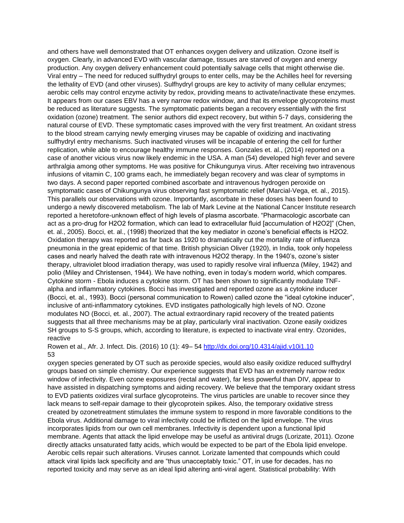and others have well demonstrated that OT enhances oxygen delivery and utilization. Ozone itself is oxygen. Clearly, in advanced EVD with vascular damage, tissues are starved of oxygen and energy production. Any oxygen delivery enhancement could potentially salvage cells that might otherwise die. Viral entry – The need for reduced sulfhydryl groups to enter cells, may be the Achilles heel for reversing the lethality of EVD (and other viruses). Sulfhydryl groups are key to activity of many cellular enzymes; aerobic cells may control enzyme activity by redox, providing means to activate/inactivate these enzymes. It appears from our cases EBV has a very narrow redox window, and that its envelope glycoproteins must be reduced as literature suggests. The symptomatic patients began a recovery essentially with the first oxidation (ozone) treatment. The senior authors did expect recovery, but within 5-7 days, considering the natural course of EVD. These symptomatic cases improved with the very first treatment. An oxidant stress to the blood stream carrying newly emerging viruses may be capable of oxidizing and inactivating sulfhydryl entry mechanisms. Such inactivated viruses will be incapable of entering the cell for further replication, while able to encourage healthy immune responses. Gonzales et. al., (2014) reported on a case of another vicious virus now likely endemic in the USA. A man (54) developed high fever and severe arthralgia among other symptoms. He was positive for Chikungunya virus. After receiving two intravenous infusions of vitamin C, 100 grams each, he immediately began recovery and was clear of symptoms in two days. A second paper reported combined ascorbate and intravenous hydrogen peroxide on symptomatic cases of Chikungunya virus observing fast symptomatic relief (Marcial-Vega, et. al., 2015). This parallels our observations with ozone. Importantly, ascorbate in these doses has been found to undergo a newly discovered metabolism. The lab of Mark Levine at the National Cancer Institute research reported a heretofore-unknown effect of high levels of plasma ascorbate. "Pharmacologic ascorbate can act as a pro-drug for H2O2 formation, which can lead to extracellular fluid [accumulation of H2O2]" (Chen, et. al., 2005). Bocci, et. al., (1998) theorized that the key mediator in ozone's beneficial effects is H2O2. Oxidation therapy was reported as far back as 1920 to dramatically cut the mortality rate of influenza pneumonia in the great epidemic of that time. British physician Oliver (1920), in India, took only hopeless cases and nearly halved the death rate with intravenous H2O2 therapy. In the 1940's, ozone's sister therapy, ultraviolet blood irradiation therapy, was used to rapidly resolve viral influenza (Miley, 1942) and polio (Miley and Christensen, 1944). We have nothing, even in today's modern world, which compares. Cytokine storm - Ebola induces a cytokine storm. OT has been shown to significantly modulate TNFalpha and inflammatory cytokines. Bocci has investigated and reported ozone as a cytokine inducer (Bocci, et. al., 1993). Bocci (personal communication to Rowen) called ozone the "ideal cytokine inducer", inclusive of anti-inflammatory cytokines. EVD instigates pathologically high levels of NO. Ozone modulates NO (Bocci, et. al., 2007). The actual extraordinary rapid recovery of the treated patients suggests that all three mechanisms may be at play, particularly viral inactivation. Ozone easily oxidizes SH groups to S-S groups, which, according to literature, is expected to inactivate viral entry. Ozonides, reactive

## Rowen et al., Afr. J. Infect. Dis. (2016) 10 (1): 49– 54 <http://dx.doi.org/10.4314/ajid.v10i1.10> 53

oxygen species generated by OT such as peroxide species, would also easily oxidize reduced sulfhydryl groups based on simple chemistry. Our experience suggests that EVD has an extremely narrow redox window of infectivity. Even ozone exposures (rectal and water), far less powerful than DIV, appear to have assisted in dispatching symptoms and aiding recovery. We believe that the temporary oxidant stress to EVD patients oxidizes viral surface glycoproteins. The virus particles are unable to recover since they lack means to self-repair damage to their glycoprotein spikes. Also, the temporary oxidative stress created by ozonetreatment stimulates the immune system to respond in more favorable conditions to the Ebola virus. Additional damage to viral infectivity could be inflicted on the lipid envelope. The virus incorporates lipids from our own cell membranes. Infectivity is dependent upon a functional lipid membrane. Agents that attack the lipid envelope may be useful as antiviral drugs (Lorizate, 2011). Ozone directly attacks unsaturated fatty acids, which would be expected to be part of the Ebola lipid envelope. Aerobic cells repair such alterations. Viruses cannot. Lorizate lamented that compounds which could attack viral lipids lack specificity and are "thus unacceptably toxic." OT, in use for decades, has no reported toxicity and may serve as an ideal lipid altering anti-viral agent. Statistical probability: With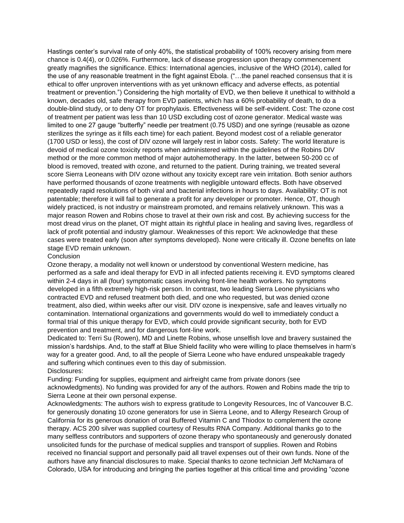Hastings center's survival rate of only 40%, the statistical probability of 100% recovery arising from mere chance is 0.4(4), or 0.026%. Furthermore, lack of disease progression upon therapy commencement greatly magnifies the significance. Ethics: International agencies, inclusive of the WHO (2014), called for the use of any reasonable treatment in the fight against Ebola. ("…the panel reached consensus that it is ethical to offer unproven interventions with as yet unknown efficacy and adverse effects, as potential treatment or prevention.") Considering the high mortality of EVD, we then believe it unethical to withhold a known, decades old, safe therapy from EVD patients, which has a 60% probability of death, to do a double-blind study, or to deny OT for prophylaxis. Effectiveness will be self-evident. Cost: The ozone cost of treatment per patient was less than 10 USD excluding cost of ozone generator. Medical waste was limited to one 27 gauge "butterfly" needle per treatment (0.75 USD) and one syringe (reusable as ozone sterilizes the syringe as it fills each time) for each patient. Beyond modest cost of a reliable generator (1700 USD or less), the cost of DIV ozone will largely rest in labor costs. Safety: The world literature is devoid of medical ozone toxicity reports when administered within the guidelines of the Robins DIV method or the more common method of major autohemotherapy. In the latter, between 50-200 cc of blood is removed, treated with ozone, and returned to the patient. During training, we treated several score Sierra Leoneans with DIV ozone without any toxicity except rare vein irritation. Both senior authors have performed thousands of ozone treatments with negligible untoward effects. Both have observed repeatedly rapid resolutions of both viral and bacterial infections in hours to days. Availability: OT is not patentable; therefore it will fail to generate a profit for any developer or promoter. Hence, OT, though widely practiced, is not industry or mainstream promoted, and remains relatively unknown. This was a major reason Rowen and Robins chose to travel at their own risk and cost. By achieving success for the most dread virus on the planet, OT might attain its rightful place in healing and saving lives, regardless of lack of profit potential and industry glamour. Weaknesses of this report: We acknowledge that these cases were treated early (soon after symptoms developed). None were critically ill. Ozone benefits on late stage EVD remain unknown.

#### **Conclusion**

Ozone therapy, a modality not well known or understood by conventional Western medicine, has performed as a safe and ideal therapy for EVD in all infected patients receiving it. EVD symptoms cleared within 2-4 days in all (four) symptomatic cases involving front-line health workers. No symptoms developed in a fifth extremely high-risk person. In contrast, two leading Sierra Leone physicians who contracted EVD and refused treatment both died, and one who requested, but was denied ozone treatment, also died, within weeks after our visit. DIV ozone is inexpensive, safe and leaves virtually no contamination. International organizations and governments would do well to immediately conduct a formal trial of this unique therapy for EVD, which could provide significant security, both for EVD prevention and treatment, and for dangerous font-line work.

Dedicated to: Terri Su (Rowen), MD and Linette Robins, whose unselfish love and bravery sustained the mission's hardships. And, to the staff at Blue Shield facility who were willing to place themselves in harm's way for a greater good. And, to all the people of Sierra Leone who have endured unspeakable tragedy and suffering which continues even to this day of submission. Disclosures:

Funding: Funding for supplies, equipment and airfreight came from private donors (see acknowledgments). No funding was provided for any of the authors. Rowen and Robins made the trip to Sierra Leone at their own personal expense.

Acknowledgments: The authors wish to express gratitude to Longevity Resources, Inc of Vancouver B.C. for generously donating 10 ozone generators for use in Sierra Leone, and to Allergy Research Group of California for its generous donation of oral Buffered Vitamin C and Thiodox to complement the ozone therapy. ACS 200 silver was supplied courtesy of Results RNA Company. Additional thanks go to the many selfless contributors and supporters of ozone therapy who spontaneously and generously donated unsolicited funds for the purchase of medical supplies and transport of supplies. Rowen and Robins received no financial support and personally paid all travel expenses out of their own funds. None of the authors have any financial disclosures to make. Special thanks to ozone technician Jeff McNamara of Colorado, USA for introducing and bringing the parties together at this critical time and providing "ozone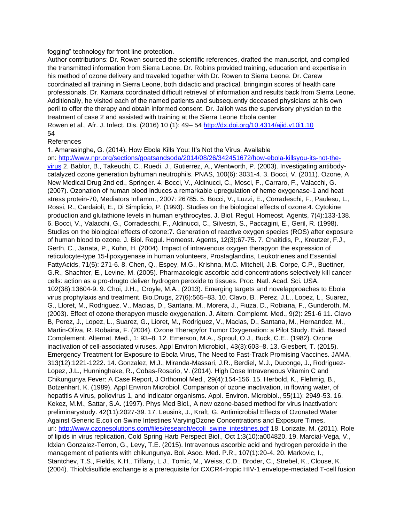### fogging" technology for front line protection.

Author contributions: Dr. Rowen sourced the scientific references, drafted the manuscript, and compiled the transmitted information from Sierra Leone. Dr. Robins provided training, education and expertise in his method of ozone delivery and traveled together with Dr. Rowen to Sierra Leone. Dr. Carew coordinated all training in Sierra Leone, both didactic and practical, bringingin scores of health care professionals. Dr. Kamara coordinated difficult retrieval of information and results back from Sierra Leone. Additionally, he visited each of the named patients and subsequently deceased physicians at his own peril to offer the therapy and obtain informed consent. Dr. Jalloh was the supervisory physician to the treatment of case 2 and assisted with training at the Sierra Leone Ebola center Rowen et al., Afr. J. Infect. Dis. (2016) 10 (1): 49– 54 <http://dx.doi.org/10.4314/ajid.v10i1.10> 54

# References

1. Amarasinghe, G. (2014). How Ebola Kills You: It's Not the Virus. Available

on: [http://www.npr.org/sections/goatsandsoda/2014/08/26/342451672/how-ebola-killsyou-its-not-the](http://www.npr.org/sections/goatsandsoda/2014/08/26/342451672/how-ebola-killsyou-its-not-the-virus)[virus](http://www.npr.org/sections/goatsandsoda/2014/08/26/342451672/how-ebola-killsyou-its-not-the-virus) 2. Bablor, B., Takeuchi, C., Ruedi, J., Gutierrez, A., Wentworth, P. (2003). Investigating antibodycatalyzed ozone generation byhuman neutrophils. PNAS, 100(6): 3031-4. 3. Bocci, V. (2011). Ozone, A New Medical Drug 2nd ed., Springer. 4. Bocci, V., Aldinucci, C., Mosci, F., Carraro, F., Valacchi, G. (2007). Ozonation of human blood induces a remarkable upregulation of heme oxygenase-1 and heat stress protein-70, Mediators Inflamm., 2007: 26785. 5. Bocci, V., Luzzi, E., Corradeschi, F., Paulesu, L., Rossi, R., Cardaioli, E., Di Simplicio, P. (1993). Studies on the biological effects of ozone:4. Cytokine production and glutathione levels in human erythrocytes. J. Biol. Regul. Homeost. Agents, 7(4):133-138. 6. Bocci, V., Valacchi, G., Corradeschi, F., Aldinucci, C., Silvestri, S., Paccagini, E., Geril, R. (1998). Studies on the biological effects of ozone:7. Generation of reactive oxygen species (ROS) after exposure of human blood to ozone. J. Biol. Regul. Homeost. Agents, 12(3):67-75. 7. Chaitidis, P., Kreutzer, F.J., Gerth, C., Janata, P., Kuhn, H. (2004). Impact of intravenous oxygen therapyon the expression of reticulocyte-type 15-lipoxygenase in human volunteers, Prostaglandins, Leukotrienes and Essential FattyAcids, 71(5): 271-6. 8. Chen, Q., Espey, M.G., Krishna, M.C. Mitchell, J.B. Corpe, C.P., Buettner, G.R., Shachter, E., Levine, M. (2005). Pharmacologic ascorbic acid concentrations selectively kill cancer cells: action as a pro-drugto deliver hydrogen peroxide to tissues. Proc. Natl. Acad. Sci. USA, 102(38):13604-9. 9. Choi, J.H.,, Croyle, M.A., (2013). Emerging targets and novelapproaches to Ebola virus prophylaxis and treatment. Bio.Drugs, 27(6):565–83. 10. Clavo, B., Perez, J.L., Lopez, L., Suarez, G., Lloret, M., Rodriguez, V., Macias, D., Santana, M., Morera, J., Fiuza, D., Robiana, F., Gunderoth, M. (2003). Effect of ozone therapyon muscle oxygenation. J. Altern. Complemt. Med., 9(2): 251-6 11. Clavo B, Perez, J., Lopez, L., Suarez, G., Lioret, M., Rodriguez, V., Macias, D., Santana, M., Hernandez, M., Martin-Oliva, R. Robaina, F. (2004). Ozone Therapyfor Tumor Oxygenation: a Pilot Study. Evid. Based Complement. Alternat. Med., 1: 93–8. 12. Emerson, M.A., Sproul, O.J., Buck, C.E.. (1982). Ozone inactivation of cell-associated viruses. Appl Environ Microbiol., 43(3):603–8. 13. Giesbert, T. (2015). Emergency Treatment for Exposure to Ebola Virus, The Need to Fast-Track Promising Vaccines. JAMA, 313(12):1221-1222. 14. Gonzalez, M.J., Miranda-Massari, J.R., Berdiel, M.J., Duconge, J., Rodriguez-Lopez, J.L., Hunninghake, R., Cobas-Rosario, V. (2014). High Dose Intraveneous Vitamin C and Chikungunya Fever: A Case Report, J Orthomol Med., 29(4):154-156. 15. Herbold, K., Flehmig, B., Botzenhart, K. (1989). Appl Environ Microbiol. Comparison of ozone inactivation, in flowing water, of hepatitis A virus, poliovirus 1, and indicator organisms. Appl. Environ. Microbiol., 55(11): 2949-53. 16. Kekez, M.M., Sattar, S.A. (1997). Phys Med Biol., A new ozone-based method for virus inactivation: preliminarystudy. 42(11):2027-39. 17. Leusink, J., Kraft, G. Antimicrobial Effects of Ozonated Water Against Generic E.coli on Swine Intestines VaryingOzone Concentrations and Exposure Times, url: [http://www.ozonesolutions.com/files/research/ecoli\\_swine\\_intestines.pdf](http://www.ozonesolutions.com/files/research/ecoli_swine_intestines.pdf) 18. Lorizate, M. (2011). Role of lipids in virus replication, Cold Spring Harb Perspect Biol., Oct 1;3(10):a004820. 19. Marcial-Vega, V., Idxian Gonzalez-Terron, G., Levy, T.E. (2015). Intravenous ascorbic acid and hydrogen peroxide in the management of patients with chikungunya. Bol. Asoc. Med. P.R., 107(1):20-4. 20. Markovic, I., Stantchev, T.S., Fields, K.H., Tiffany, L.J., Tomic, M., Weiss, C.D., Broder, C., Strebel, K., Clouse, K. (2004). Thiol/disulfide exchange is a prerequisite for CXCR4-tropic HIV-1 envelope-mediated T-cell fusion